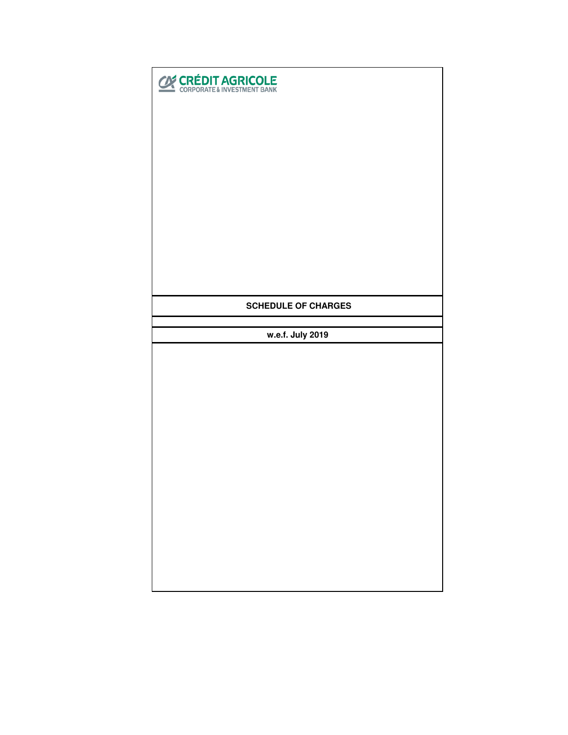| <b>CRÉDIT AGRICOLE</b>     |  |  |  |  |
|----------------------------|--|--|--|--|
|                            |  |  |  |  |
|                            |  |  |  |  |
|                            |  |  |  |  |
|                            |  |  |  |  |
|                            |  |  |  |  |
|                            |  |  |  |  |
| <b>SCHEDULE OF CHARGES</b> |  |  |  |  |
|                            |  |  |  |  |
| w.e.f. July 2019           |  |  |  |  |
|                            |  |  |  |  |
|                            |  |  |  |  |
|                            |  |  |  |  |
|                            |  |  |  |  |
|                            |  |  |  |  |
|                            |  |  |  |  |
|                            |  |  |  |  |
|                            |  |  |  |  |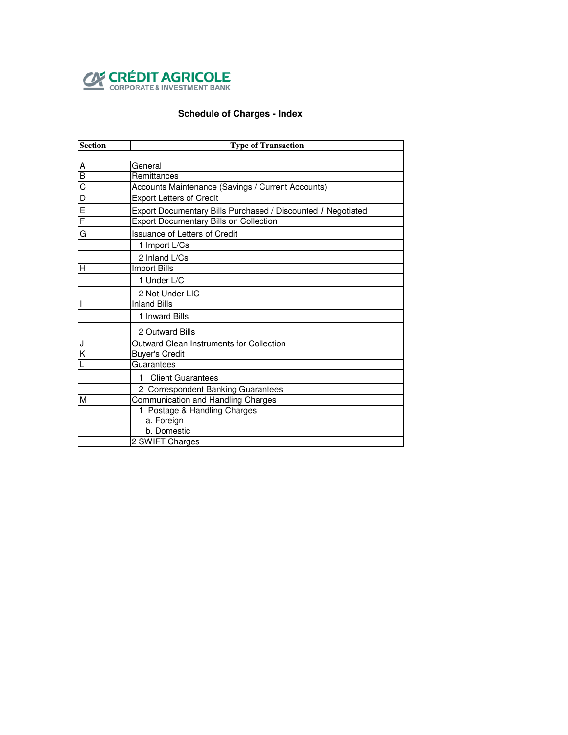

# **Schedule of Charges - Index**

| <b>Section</b>          | <b>Type of Transaction</b>                                   |  |  |  |  |
|-------------------------|--------------------------------------------------------------|--|--|--|--|
|                         |                                                              |  |  |  |  |
| Α                       | General                                                      |  |  |  |  |
| B                       | Remittances                                                  |  |  |  |  |
| $\overline{C}$          | Accounts Maintenance (Savings / Current Accounts)            |  |  |  |  |
| $\overline{\mathsf{D}}$ | <b>Export Letters of Credit</b>                              |  |  |  |  |
| E                       | Export Documentary Bills Purchased / Discounted / Negotiated |  |  |  |  |
| F                       | <b>Export Documentary Bills on Collection</b>                |  |  |  |  |
| G                       | <b>Issuance of Letters of Credit</b>                         |  |  |  |  |
|                         | 1 Import L/Cs                                                |  |  |  |  |
|                         | 2 Inland L/Cs                                                |  |  |  |  |
| н                       | Import Bills                                                 |  |  |  |  |
|                         | 1 Under L/C                                                  |  |  |  |  |
|                         | 2 Not Under LIC                                              |  |  |  |  |
|                         | <b>Inland Bills</b>                                          |  |  |  |  |
|                         | 1 Inward Bills                                               |  |  |  |  |
|                         | 2 Outward Bills                                              |  |  |  |  |
| J                       | <b>Outward Clean Instruments for Collection</b>              |  |  |  |  |
| K                       | Buyer's Credit                                               |  |  |  |  |
|                         | Guarantees                                                   |  |  |  |  |
|                         | <b>Client Guarantees</b><br>1                                |  |  |  |  |
|                         | 2 Correspondent Banking Guarantees                           |  |  |  |  |
| М                       | Communication and Handling Charges                           |  |  |  |  |
|                         | 1 Postage & Handling Charges                                 |  |  |  |  |
|                         | a. Foreign                                                   |  |  |  |  |
|                         | b. Domestic                                                  |  |  |  |  |
|                         | 2 SWIFT Charges                                              |  |  |  |  |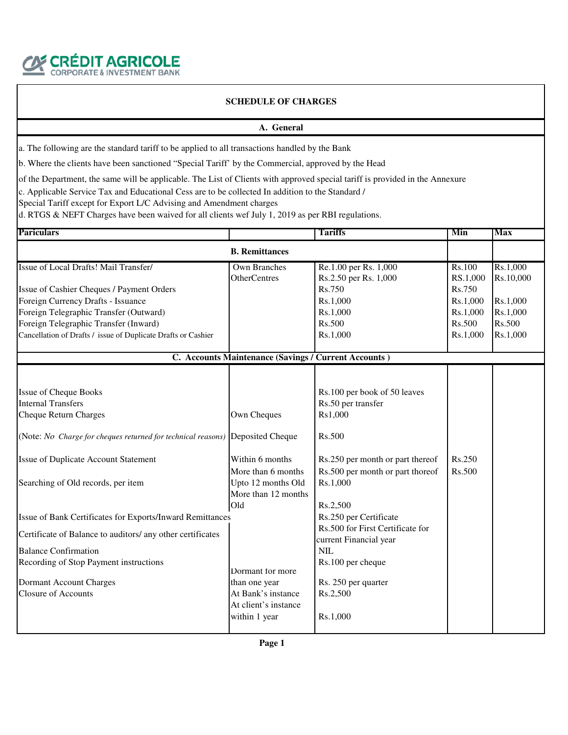

#### **A. General**

a. The following are the standard tariff to be applied to all transactions handled by the Bank

b. Where the clients have been sanctioned "Special Tariff' by the Commercial, approved by the Head

of the Department, the same will be applicable. The List of Clients with approved special tariff is provided in the Annexure

c. Applicable Service Tax and Educational Cess are to be collected In addition to the Standard /

Special Tariff except for Export L/C Advising and Amendment charges

d. RTGS & NEFT Charges have been waived for all clients wef July 1, 2019 as per RBI regulations.

| <b>Pariculars</b>                                                             |                                                      | <b>Tariffs</b>                   | Min      | <b>Max</b> |
|-------------------------------------------------------------------------------|------------------------------------------------------|----------------------------------|----------|------------|
|                                                                               | <b>B.</b> Remittances                                |                                  |          |            |
| Issue of Local Drafts! Mail Transfer/                                         | <b>Own Branches</b>                                  | Re.1.00 per Rs. 1,000            | Rs.100   | Rs.1,000   |
|                                                                               | <b>OtherCentres</b>                                  | Rs.2.50 per Rs. 1,000            | RS.1,000 | Rs.10,000  |
| Issue of Cashier Cheques / Payment Orders                                     |                                                      | Rs.750                           | Rs.750   |            |
| Foreign Currency Drafts - Issuance                                            |                                                      | Rs.1,000                         | Rs.1,000 | Rs.1,000   |
| Foreign Telegraphic Transfer (Outward)                                        |                                                      | Rs.1,000                         | Rs.1,000 | Rs.1,000   |
| Foreign Telegraphic Transfer (Inward)                                         |                                                      | Rs.500                           | Rs.500   | Rs.500     |
| Cancellation of Drafts / issue of Duplicate Drafts or Cashier                 |                                                      | Rs.1,000                         | Rs.1,000 | Rs.1,000   |
|                                                                               | C. Accounts Maintenance (Savings / Current Accounts) |                                  |          |            |
|                                                                               |                                                      |                                  |          |            |
| <b>Issue of Cheque Books</b>                                                  |                                                      | Rs.100 per book of 50 leaves     |          |            |
| <b>Internal Transfers</b>                                                     |                                                      | Rs.50 per transfer               |          |            |
| <b>Cheque Return Charges</b>                                                  | Own Cheques                                          | Rs1,000                          |          |            |
| (Note: No Charge for cheques returned for technical reasons) Deposited Cheque |                                                      | Rs.500                           |          |            |
| Issue of Duplicate Account Statement                                          | Within 6 months                                      | Rs.250 per month or part thereof | Rs.250   |            |
|                                                                               | More than 6 months                                   | Rs.500 per month or part thoreof | Rs.500   |            |
| Searching of Old records, per item                                            | Upto 12 months Old                                   | Rs.1,000                         |          |            |
|                                                                               | More than 12 months                                  |                                  |          |            |
|                                                                               | Old                                                  | Rs.2,500                         |          |            |
| Issue of Bank Certificates for Exports/Inward Remittances                     |                                                      | Rs.250 per Certificate           |          |            |
|                                                                               |                                                      | Rs.500 for First Certificate for |          |            |
| Certificate of Balance to auditors/ any other certificates                    |                                                      | current Financial year           |          |            |
| <b>Balance Confirmation</b>                                                   |                                                      | <b>NIL</b>                       |          |            |
| Recording of Stop Payment instructions                                        |                                                      | Rs.100 per cheque                |          |            |
|                                                                               | Dormant for more                                     |                                  |          |            |
| Dormant Account Charges                                                       | than one year                                        | Rs. 250 per quarter              |          |            |
| <b>Closure of Accounts</b>                                                    | At Bank's instance                                   | Rs.2,500                         |          |            |
|                                                                               | At client's instance                                 |                                  |          |            |
|                                                                               | within 1 year                                        | Rs.1,000                         |          |            |
|                                                                               |                                                      |                                  |          |            |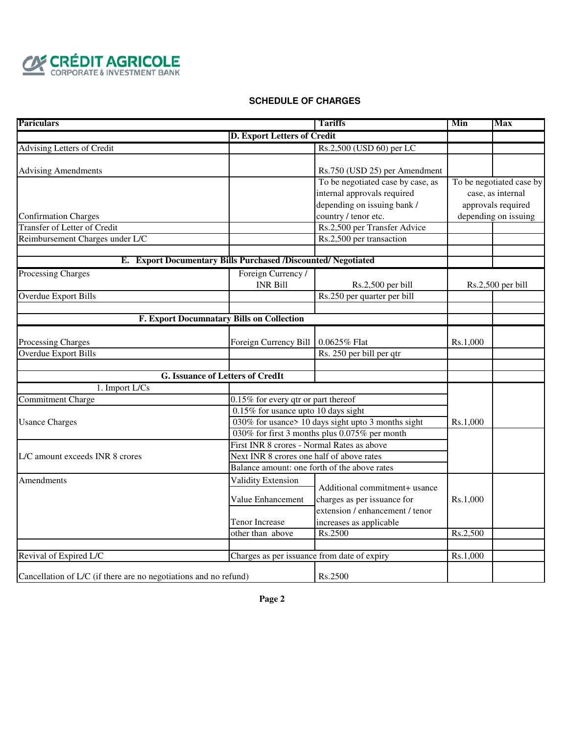

| <b>Pariculars</b>                                                |                                                               | <b>Tariffs</b>                                     | Min      | <b>Max</b>               |
|------------------------------------------------------------------|---------------------------------------------------------------|----------------------------------------------------|----------|--------------------------|
|                                                                  | D. Export Letters of Credit                                   |                                                    |          |                          |
| <b>Advising Letters of Credit</b>                                |                                                               | Rs.2,500 (USD 60) per LC                           |          |                          |
|                                                                  |                                                               |                                                    |          |                          |
| <b>Advising Amendments</b>                                       |                                                               | Rs.750 (USD 25) per Amendment                      |          |                          |
|                                                                  |                                                               | To be negotiated case by case, as                  |          | To be negotiated case by |
|                                                                  |                                                               | internal approvals required                        |          | case, as internal        |
|                                                                  |                                                               | depending on issuing bank /                        |          | approvals required       |
| <b>Confirmation Charges</b>                                      |                                                               | country / tenor etc.                               |          | depending on issuing     |
| <b>Transfer of Letter of Credit</b>                              |                                                               | Rs.2,500 per Transfer Advice                       |          |                          |
| Reimbursement Charges under L/C                                  |                                                               | Rs.2,500 per transaction                           |          |                          |
|                                                                  |                                                               |                                                    |          |                          |
|                                                                  | E. Export Documentary Bills Purchased /Discounted/ Negotiated |                                                    |          |                          |
| <b>Processing Charges</b>                                        | Foreign Currency /                                            |                                                    |          |                          |
|                                                                  | <b>INR Bill</b>                                               | Rs.2,500 per bill                                  |          | Rs.2,500 per bill        |
| <b>Overdue Export Bills</b>                                      |                                                               | Rs.250 per quarter per bill                        |          |                          |
|                                                                  |                                                               |                                                    |          |                          |
|                                                                  | <b>F. Export Documnatary Bills on Collection</b>              |                                                    |          |                          |
|                                                                  |                                                               |                                                    |          |                          |
| Processing Charges                                               | Foreign Currency Bill                                         | 0.0625% FIat                                       | Rs.1,000 |                          |
| <b>Overdue Export Bills</b>                                      |                                                               | Rs. 250 per bill per qtr                           |          |                          |
|                                                                  | <b>G. Issuance of Letters of CredIt</b>                       |                                                    |          |                          |
| 1. Import L/Cs                                                   |                                                               |                                                    |          |                          |
| <b>Commitment Charge</b>                                         | 0.15% for every qtr or part thereof                           |                                                    |          |                          |
|                                                                  | 0.15% for usance upto 10 days sight                           |                                                    |          |                          |
| <b>Usance Charges</b>                                            |                                                               | 030% for usance> 10 days sight upto 3 months sight | Rs.1,000 |                          |
|                                                                  |                                                               | 030% for first 3 months plus 0.075% per month      |          |                          |
|                                                                  | First INR 8 crores - Normal Rates as above                    |                                                    |          |                          |
| L/C amount exceeds INR 8 crores                                  |                                                               | Next INR 8 crores one half of above rates          |          |                          |
|                                                                  |                                                               | Balance amount: one forth of the above rates       |          |                          |
| Amendments                                                       | Validity Extension                                            |                                                    |          |                          |
|                                                                  |                                                               | Additional commitment+ usance                      |          |                          |
|                                                                  | Value Enhancement                                             | charges as per issuance for                        | Rs.1,000 |                          |
|                                                                  |                                                               | extension / enhancement / tenor                    |          |                          |
|                                                                  | <b>Tenor Increase</b>                                         | increases as applicable                            |          |                          |
|                                                                  | other than above                                              | Rs.2500                                            | Rs.2,500 |                          |
|                                                                  |                                                               |                                                    |          |                          |
| Revival of Expired L/C                                           | Charges as per issuance from date of expiry                   |                                                    | Rs.1,000 |                          |
| Cancellation of L/C (if there are no negotiations and no refund) |                                                               | Rs.2500                                            |          |                          |
|                                                                  |                                                               |                                                    |          |                          |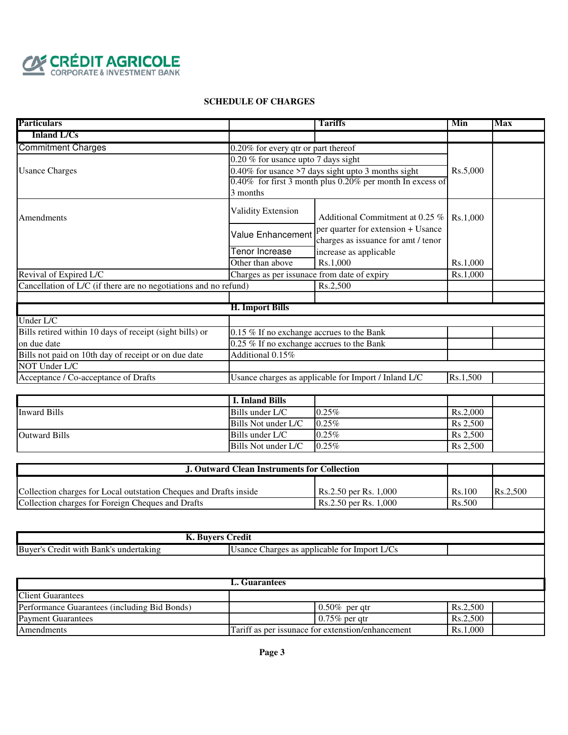

| <b>Particulars</b>                                               |                                                    | <b>Tariffs</b>                                                            | Min      | Max |
|------------------------------------------------------------------|----------------------------------------------------|---------------------------------------------------------------------------|----------|-----|
| <b>Inland L/Cs</b>                                               |                                                    |                                                                           |          |     |
| <b>Commitment Charges</b>                                        | 0.20% for every qtr or part thereof                |                                                                           |          |     |
|                                                                  |                                                    | $0.20\%$ for usance upto 7 days sight                                     |          |     |
| <b>Usance Charges</b>                                            | 0.40% for usance >7 days sight upto 3 months sight |                                                                           | Rs.5,000 |     |
|                                                                  |                                                    | 0.40% for first 3 month plus 0.20% per month In excess of                 |          |     |
|                                                                  | 3 months                                           |                                                                           |          |     |
| Amendments                                                       | Validity Extension                                 | Additional Commitment at 0.25 %                                           | Rs.1,000 |     |
|                                                                  | Value Enhancement                                  | per quarter for extension + Usance<br>charges as issuance for amt / tenor |          |     |
|                                                                  | Tenor Increase                                     | increase as applicable                                                    |          |     |
|                                                                  | Other than above                                   | Rs.1,000                                                                  | Rs.1.000 |     |
| Revival of Expired L/C                                           | Charges as per issunace from date of expiry        |                                                                           | Rs.1,000 |     |
| Cancellation of L/C (if there are no negotiations and no refund) |                                                    | Rs.2,500                                                                  |          |     |
|                                                                  |                                                    |                                                                           |          |     |
|                                                                  | <b>H. Import Bills</b>                             |                                                                           |          |     |
| Under L/C                                                        |                                                    |                                                                           |          |     |
| Bills retired within 10 days of receipt (sight bills) or         | 0.15 % If no exchange accrues to the Bank          |                                                                           |          |     |
| on due date                                                      | 0.25 % If no exchange accrues to the Bank          |                                                                           |          |     |
| Bills not paid on 10th day of receipt or on due date             | Additional 0.15%                                   |                                                                           |          |     |
| NOT Under L/C                                                    |                                                    |                                                                           |          |     |
| Acceptance / Co-acceptance of Drafts                             |                                                    | Usance charges as applicable for Import / Inland L/C                      | Rs.1,500 |     |
|                                                                  |                                                    |                                                                           |          |     |
|                                                                  | <b>I. Inland Bills</b>                             |                                                                           |          |     |
| <b>Inward Bills</b>                                              | Bills under L/C                                    | 0.25%                                                                     | Rs.2,000 |     |
|                                                                  | Bills Not under L/C                                | 0.25%                                                                     | Rs 2,500 |     |
| <b>Outward Bills</b>                                             | Bills under L/C                                    | 0.25%                                                                     | Rs 2,500 |     |
|                                                                  | Bills Not under L/C                                | 0.25%                                                                     | Rs 2,500 |     |

| <b>J. Outward Clean Instruments for Collection</b>                |                                |        |          |
|-------------------------------------------------------------------|--------------------------------|--------|----------|
| Collection charges for Local outstation Cheques and Drafts inside | $\text{Rs.}2.50$ per Rs. 1,000 | Rs.100 | Rs.2.500 |
| Collection charges for Foreign Cheques and Drafts                 | Rs.2.50 per Rs. 1,000          | Rs.500 |          |

| Buyer'<br>undertakıng<br>: with<br>Bank'<br>redit | $\sqrt{2}$<br>applicable<br>Import<br>Charges<br>TO <sup>1</sup><br>Isance<br>$\Omega$<br>. LJ<br>as<br>. |  |
|---------------------------------------------------|-----------------------------------------------------------------------------------------------------------|--|

| Guarantees                                   |                                                   |          |  |  |  |
|----------------------------------------------|---------------------------------------------------|----------|--|--|--|
| <b>Client Guarantees</b>                     |                                                   |          |  |  |  |
| Performance Guarantees (including Bid Bonds) | $0.50\%$ per gtr                                  | Rs.2.500 |  |  |  |
| <b>Payment Guarantees</b>                    | $0.75\%$ per gtr                                  | Rs.2.500 |  |  |  |
| Amendments                                   | Tariff as per issunace for extenstion/enhancement | Rs.1.000 |  |  |  |